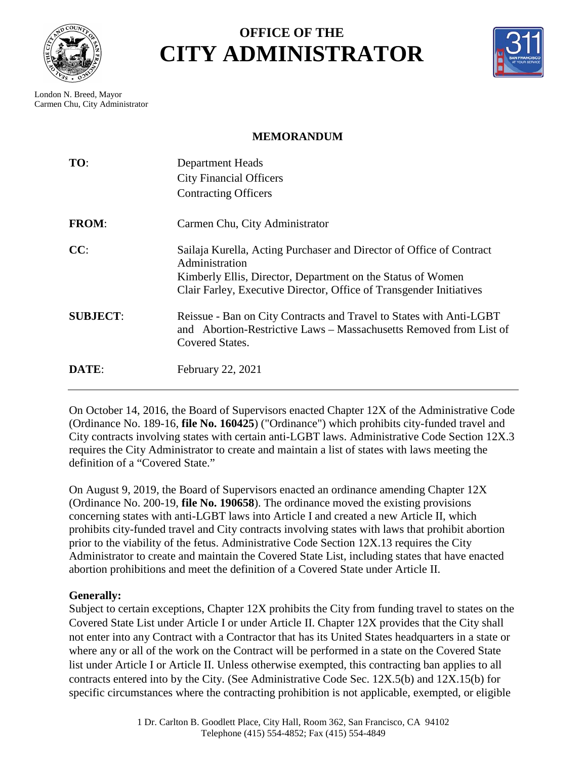

## **OFFICE OF THE CITY ADMINISTRATOR**



London N. Breed, Mayor Carmen Chu, City Administrator

## **MEMORANDUM**

| TO:             | <b>Department Heads</b><br><b>City Financial Officers</b><br><b>Contracting Officers</b>                                                                                                                                     |
|-----------------|------------------------------------------------------------------------------------------------------------------------------------------------------------------------------------------------------------------------------|
| <b>FROM:</b>    | Carmen Chu, City Administrator                                                                                                                                                                                               |
| CC:             | Sailaja Kurella, Acting Purchaser and Director of Office of Contract<br>Administration<br>Kimberly Ellis, Director, Department on the Status of Women<br>Clair Farley, Executive Director, Office of Transgender Initiatives |
| <b>SUBJECT:</b> | Reissue - Ban on City Contracts and Travel to States with Anti-LGBT<br>and Abortion-Restrictive Laws – Massachusetts Removed from List of<br>Covered States.                                                                 |
| DATE:           | February 22, 2021                                                                                                                                                                                                            |

On October 14, 2016, the Board of Supervisors enacted Chapter 12X of the Administrative Code (Ordinance No. 189-16, **[file No. 160425](http://sfgsa.org/sites/default/files/Document/AdminCodeChapter12X.PDF)**) ("Ordinance") which prohibits city-funded travel and City contracts involving states with certain anti-LGBT laws. Administrative Code Section 12X.3 requires the City Administrator to create and maintain a list of states with laws meeting the definition of a "Covered State."

On August 9, 2019, the Board of Supervisors enacted an ordinance amending Chapter 12X (Ordinance No. 200-19, **file No. 190658**). The ordinance moved the existing provisions concerning states with anti-LGBT laws into Article I and created a new Article II, which prohibits city-funded travel and City contracts involving states with laws that prohibit abortion prior to the viability of the fetus. Administrative Code Section 12X.13 requires the City Administrator to create and maintain the Covered State List, including states that have enacted abortion prohibitions and meet the definition of a Covered State under Article II.

## **Generally:**

Subject to certain exceptions, Chapter 12X prohibits the City from funding travel to states on the Covered State List under Article I or under Article II. Chapter 12X provides that the City shall not enter into any Contract with a Contractor that has its United States headquarters in a state or where any or all of the work on the Contract will be performed in a state on the Covered State list under Article I or Article II. Unless otherwise exempted, this contracting ban applies to all contracts entered into by the City. (See Administrative Code Sec. 12X.5(b) and 12X.15(b) for specific circumstances where the contracting prohibition is not applicable, exempted, or eligible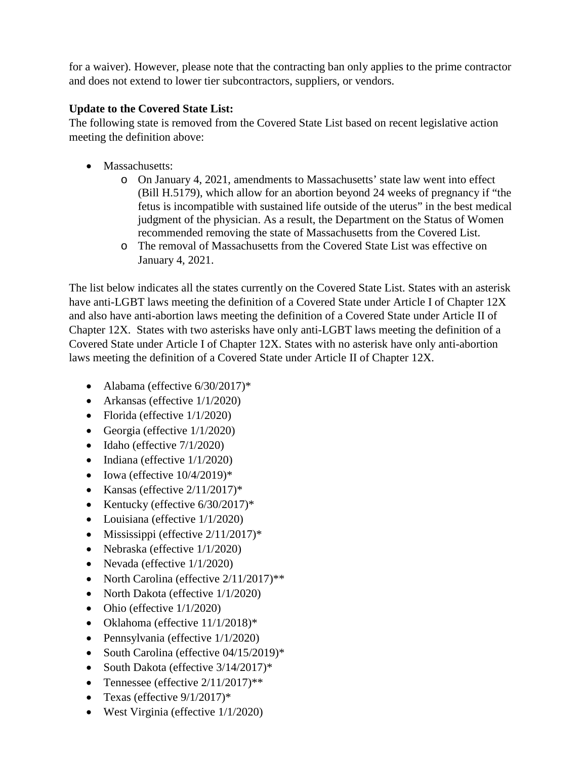for a waiver). However, please note that the contracting ban only applies to the prime contractor and does not extend to lower tier subcontractors, suppliers, or vendors.

## **Update to the Covered State List:**

The following state is removed from the Covered State List based on recent legislative action meeting the definition above:

- Massachusetts:
	- o On January 4, 2021, amendments to Massachusetts' state law went into effect (Bill H.5179), which allow for an abortion beyond 24 weeks of pregnancy if "the fetus is incompatible with sustained life outside of the uterus" in the best medical judgment of the physician. As a result, the Department on the Status of Women recommended removing the state of Massachusetts from the Covered List.
	- o The removal of Massachusetts from the Covered State List was effective on January 4, 2021.

The list below indicates all the states currently on the Covered State List. States with an asterisk have anti-LGBT laws meeting the definition of a Covered State under Article I of Chapter 12X and also have anti-abortion laws meeting the definition of a Covered State under Article II of Chapter 12X. States with two asterisks have only anti-LGBT laws meeting the definition of a Covered State under Article I of Chapter 12X. States with no asterisk have only anti-abortion laws meeting the definition of a Covered State under Article II of Chapter 12X.

- Alabama (effective  $6/30/2017$ )\*
- Arkansas (effective  $1/1/2020$ )
- Florida (effective  $1/1/2020$ )
- Georgia (effective 1/1/2020)
- Idaho (effective  $7/1/2020$ )
- Indiana (effective  $1/1/2020$ )
- Iowa (effective  $10/4/2019$ )\*
- Kansas (effective  $2/11/2017$ )\*
- Kentucky (effective  $6/30/2017$ )\*
- Louisiana (effective  $1/1/2020$ )
- Mississippi (effective  $2/11/2017$ )\*
- Nebraska (effective  $1/1/2020$ )
- Nevada (effective  $1/1/2020$ )
- North Carolina (effective  $2/11/2017$ )\*\*
- North Dakota (effective  $1/1/2020$ )
- Ohio (effective  $1/1/2020$ )
- Oklahoma (effective 11/1/2018)\*
- Pennsylvania (effective  $1/1/2020$ )
- South Carolina (effective 04/15/2019)\*
- South Dakota (effective  $3/14/2017$ )\*
- Tennessee (effective  $2/11/2017$ )\*\*
- Texas (effective  $9/1/2017$ )\*
- West Virginia (effective  $1/1/2020$ )